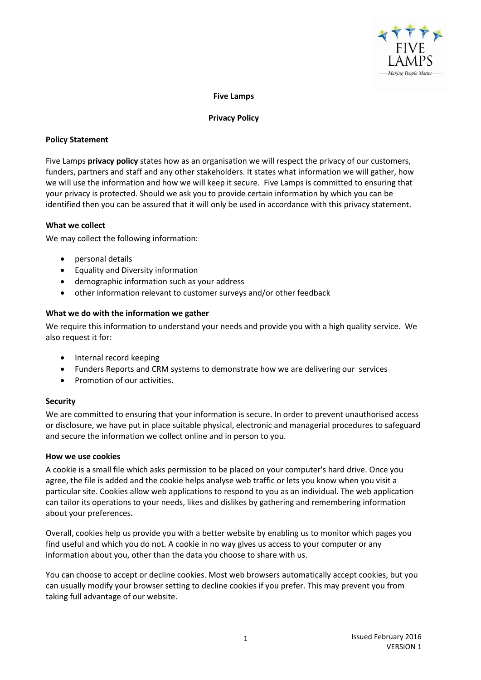

### **Five Lamps**

#### **Privacy Policy**

# **Policy Statement**

Five Lamps **privacy policy** states how as an organisation we will respect the privacy of our customers, funders, partners and staff and any other stakeholders. It states what information we will gather, how we will use the information and how we will keep it secure. Five Lamps is committed to ensuring that your privacy is protected. Should we ask you to provide certain information by which you can be identified then you can be assured that it will only be used in accordance with this privacy statement.

## **What we collect**

We may collect the following information:

- personal details
- Equality and Diversity information
- demographic information such as your address
- other information relevant to customer surveys and/or other feedback

### **What we do with the information we gather**

We require this information to understand your needs and provide you with a high quality service. We also request it for:

- Internal record keeping
- Funders Reports and CRM systems to demonstrate how we are delivering our services
- Promotion of our activities.

#### **Security**

We are committed to ensuring that your information is secure. In order to prevent unauthorised access or disclosure, we have put in place suitable physical, electronic and managerial procedures to safeguard and secure the information we collect online and in person to you.

## **How we use cookies**

A cookie is a small file which asks permission to be placed on your computer's hard drive. Once you agree, the file is added and the cookie helps analyse web traffic or lets you know when you visit a particular site. Cookies allow web applications to respond to you as an individual. The web application can tailor its operations to your needs, likes and dislikes by gathering and remembering information about your preferences.

Overall, cookies help us provide you with a better website by enabling us to monitor which pages you find useful and which you do not. A cookie in no way gives us access to your computer or any information about you, other than the data you choose to share with us.

You can choose to accept or decline cookies. Most web browsers automatically accept cookies, but you can usually modify your browser setting to decline cookies if you prefer. This may prevent you from taking full advantage of our website.